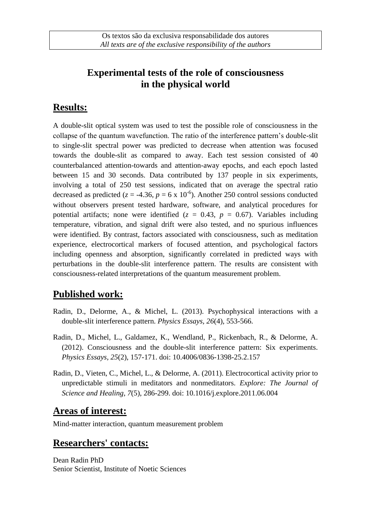## **Experimental tests of the role of consciousness in the physical world**

### **Results:**

A double-slit optical system was used to test the possible role of consciousness in the collapse of the quantum wavefunction. The ratio of the interference pattern's double-slit to single-slit spectral power was predicted to decrease when attention was focused towards the double-slit as compared to away. Each test session consisted of 40 counterbalanced attention-towards and attention-away epochs, and each epoch lasted between 15 and 30 seconds. Data contributed by 137 people in six experiments, involving a total of 250 test sessions, indicated that on average the spectral ratio decreased as predicted ( $z = -4.36$ ,  $p = 6 \times 10^{-6}$ ). Another 250 control sessions conducted without observers present tested hardware, software, and analytical procedures for potential artifacts; none were identified  $(z = 0.43, p = 0.67)$ . Variables including temperature, vibration, and signal drift were also tested, and no spurious influences were identified. By contrast, factors associated with consciousness, such as meditation experience, electrocortical markers of focused attention, and psychological factors including openness and absorption, significantly correlated in predicted ways with perturbations in the double-slit interference pattern. The results are consistent with consciousness-related interpretations of the quantum measurement problem.

# **Published work:**

- Radin, D., Delorme, A., & Michel, L. (2013). Psychophysical interactions with a double-slit interference pattern. *Physics Essays, 26*(4), 553-566.
- Radin, D., Michel, L., Galdamez, K., Wendland, P., Rickenbach, R., & Delorme, A. (2012). Consciousness and the double-slit interference pattern: Six experiments. *Physics Essays, 25*(2), 157-171. doi: 10.4006/0836-1398-25.2.157
- Radin, D., Vieten, C., Michel, L., & Delorme, A. (2011). Electrocortical activity prior to unpredictable stimuli in meditators and nonmeditators. *Explore: The Journal of Science and Healing, 7*(5), 286-299. doi: 10.1016/j.explore.2011.06.004

## **Areas of interest:**

Mind-matter interaction, quantum measurement problem

#### **Researchers' contacts:**

Dean Radin PhD Senior Scientist, Institute of Noetic Sciences